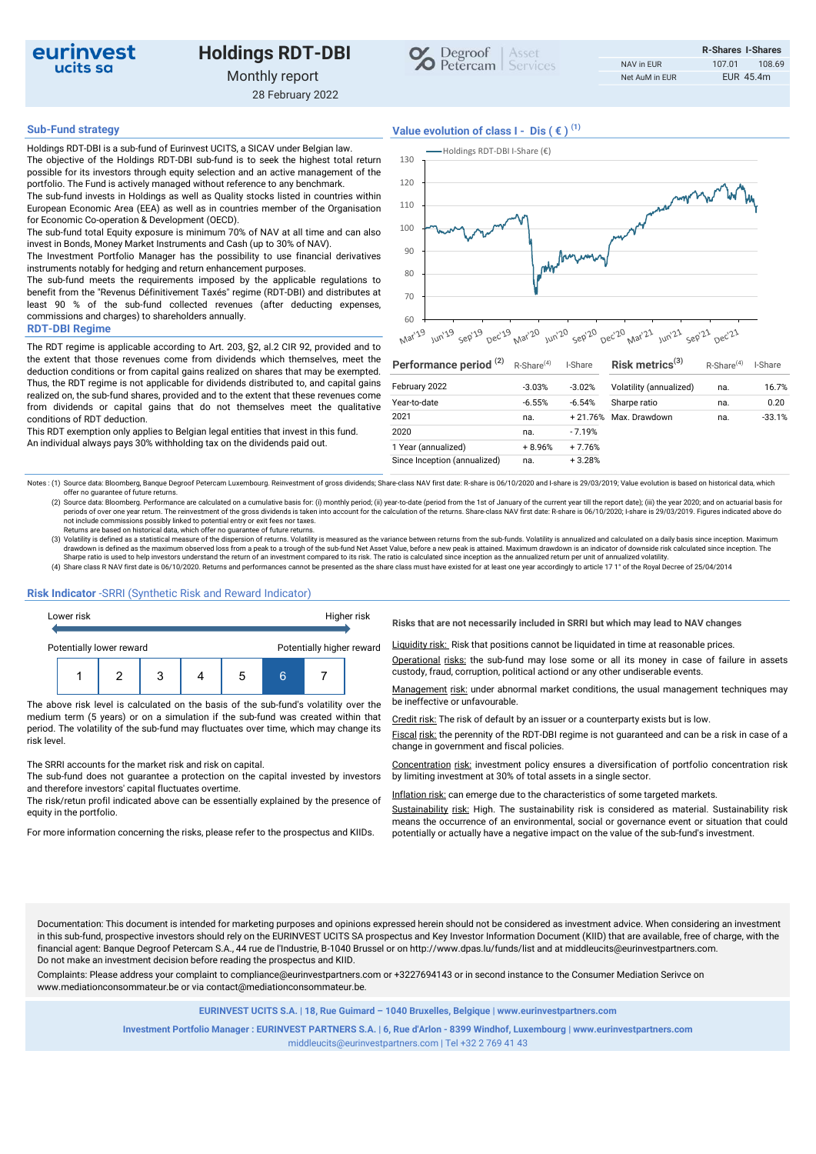

# Holdings RDT-DBI Monthly report



28 February 2022

# Sub-Fund strategy  $V$ alue evolution of class  $I - Dis$  ( $\in$ )<sup>(1)</sup>

Holdings RDT-DBI is a sub-fund of Eurinvest UCITS, a SICAV under Belgian law. The objective of the Holdings RDT-DBI sub-fund is to seek the highest total return possible for its investors through equity selection and an active management of the portfolio. The Fund is actively managed without reference to any benchmark. The sub-fund invests in Holdings as well as Quality stocks listed in countries within

European Economic Area (EEA) as well as in countries member of the Organisation for Economic Co-operation & Development (OECD). The sub-fund total Equity exposure is minimum 70% of NAV at all time and can also

invest in Bonds, Money Market Instruments and Cash (up to 30% of NAV). The Investment Portfolio Manager has the possibility to use financial derivatives

instruments notably for hedging and return enhancement purposes. The sub-fund meets the requirements imposed by the applicable regulations to

benefit from the "Revenus Définitivement Taxés" regime (RDT-DBI) and distributes at least 90 % of the sub-fund collected revenues (after deducting expenses, commissions and charges) to shareholders annually.

### RDT-DBI Regime

The RDT regime is applicable according to Art. 203, §2, al.2 CIR 92, provided and to the extent that those revenues come from dividends which themselves, meet the deduction conditions or from capital gains realized on shares that may be exempted. Thus, the RDT regime is not applicable for dividends distributed to, and capital gains realized on, the sub-fund shares, provided and to the extent that these revenues come from dividends or capital gains that do not themselves meet the qualitative conditions of RDT deduction.

This RDT exemption only applies to Belgian legal entities that invest in this fund. An individual always pays 30% withholding tax on the dividends paid out.



| Performance period <sup>(2)</sup> | R-Share <sup>(4)</sup> | I-Share  | Risk metrics $(3)$      | R-Share <sup>(4)</sup> | I-Share  |  |
|-----------------------------------|------------------------|----------|-------------------------|------------------------|----------|--|
| February 2022                     | $-3.03%$               | $-3.02%$ | Volatility (annualized) | na.                    | 16.7%    |  |
| Year-to-date                      | $-6.55%$               | $-6.54%$ | Sharpe ratio            | na.                    | 0.20     |  |
| 2021                              | na.                    |          | +21.76% Max. Drawdown   | na.                    | $-33.1%$ |  |
| 2020                              | na.                    | $-7.19%$ |                         |                        |          |  |
| 1 Year (annualized)               | $+8.96%$               | $+7.76%$ |                         |                        |          |  |
| Since Inception (annualized)      | na.                    | $+3.28%$ |                         |                        |          |  |

Notes : (1) Source data: Bloomberg, Banque Degroof Petercam Luxembourg. Reinvestment of gross dividends; Share-class NAV first date: R-share is 06/10/2020 and I-share is 29/03/2019; Value evolution is based on historical d offer no guarantee of future returns.

(2) Source data: Bloomberg. Performance are calculated on a cumulative basis for: (i) monthly period; (ii) year-to-date (period from the 1st of January of the current year till the report date); (iii) the year 2020; and on

Returns are based on historical data, which offer no guarantee of future returns.<br>(3) Volatility is defined as a statistical measure of the dispersion of returns. Volatility is measured as the variance between returns from drawdown is defined as the maximum observed loss from a peak to a trough of the sub-fund Net Asset Value, before a new peak is attained. Maximum drawdown is an indicator of downside risk calculated since inception. The<br>Sha

(4) Share class R NAV first date is 06/10/2020. Returns and performances cannot be presented as the share class must have existed for at least one year accordingly to article 17 1° of the Royal Decree of 25/04/2014

## Risk Indicator -SRRI (Synthetic Risk and Reward Indicator)



The above risk level is calculated on the basis of the sub-fund's volatility over the be ineffective or unfavourable. medium term (5 years) or on a simulation if the sub-fund was created within that period. The volatility of the sub-fund may fluctuates over time, which may change its risk level.

### The SRRI accounts for the market risk and risk on capital.

The sub-fund does not guarantee a protection on the capital invested by investors and therefore investors' capital fluctuates overtime.

The risk/retun profil indicated above can be essentially explained by the presence of equity in the portfolio.

Risks that are not necessarily included in SRRI but which may lead to NAV changes

Liquidity risk: Risk that positions cannot be liquidated in time at reasonable prices.

Operational risks: the sub-fund may lose some or all its money in case of failure in assets

Management risk: under abnormal market conditions, the usual management techniques may

Credit risk: The risk of default by an issuer or a counterparty exists but is low.

Fiscal risk: the perennity of the RDT-DBI regime is not guaranteed and can be a risk in case of a change in government and fiscal policies.

Concentration risk: investment policy ensures a diversification of portfolio concentration risk by limiting investment at 30% of total assets in a single sector.

Inflation risk: can emerge due to the characteristics of some targeted markets.

Sustainability risk: High. The sustainability risk is considered as material. Sustainability risk means the occurrence of an environmental, social or governance event or situation that could For more information concerning the risks, please refer to the prospectus and KIIDs. potentially or actually have a negative impact on the value of the sub-fund's investment.

Documentation: This document is intended for marketing purposes and opinions expressed herein should not be considered as investment advice. When considering an investment in this sub-fund, prospective investors should rely on the EURINVEST UCITS SA prospectus and Key Investor Information Document (KIID) that are available, free of charge, with the financial agent: Banque Degroof Petercam S.A., 44 rue de l'Industrie, B-1040 Brussel or on http://www.dpas.lu/funds/list and at middleucits@eurinvestpartners.com. Do not make an investment decision before reading the prospectus and KIID.

Complaints: Please address your complaint to compliance@eurinvestpartners.com or +3227694143 or in second instance to the Consumer Mediation Serivce on www.mediationconsommateur.be or via contact@mediationconsommateur.be.

EURINVEST UCITS S.A. | 18, Rue Guimard – 1040 Bruxelles, Belgique | www.eurinvestpartners.com

Investment Portfolio Manager : EURINVEST PARTNERS S.A. | 6, Rue d'Arlon - 8399 Windhof, Luxembourg | www.eurinvestpartners.com middleucits@eurinvestpartners.com | Tel +32 2 769 41 43

R-Shares I-Shares NAV in EUR 107.01 108.69 Net AuM in EUR EUR 45.4m